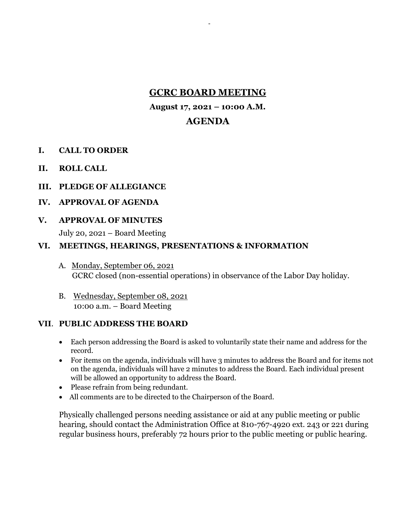# **GCRC BOARD MEETING**

-

**August 17, 2021 – 10:00 A.M.**

### **AGENDA**

- **I. CALL TO ORDER**
- **II. ROLL CALL**
- **III. PLEDGE OF ALLEGIANCE**
- **IV. APPROVAL OF AGENDA**
- **V. APPROVAL OF MINUTES**

July 20, 2021 – Board Meeting

#### **VI. MEETINGS, HEARINGS, PRESENTATIONS & INFORMATION**

- A. Monday, September 06, 2021 GCRC closed (non-essential operations) in observance of the Labor Day holiday.
- B. Wednesday, September 08, 2021 10:00 a.m. – Board Meeting

### **VII**. **PUBLIC ADDRESS THE BOARD**

- Each person addressing the Board is asked to voluntarily state their name and address for the record.
- For items on the agenda, individuals will have 3 minutes to address the Board and for items not on the agenda, individuals will have 2 minutes to address the Board. Each individual present will be allowed an opportunity to address the Board.
- Please refrain from being redundant.
- All comments are to be directed to the Chairperson of the Board.

Physically challenged persons needing assistance or aid at any public meeting or public hearing, should contact the Administration Office at 810-767-4920 ext. 243 or 221 during regular business hours, preferably 72 hours prior to the public meeting or public hearing.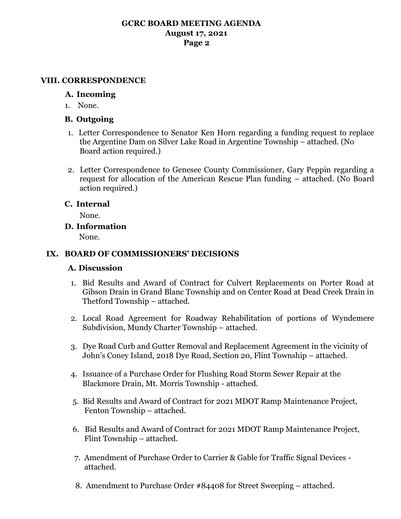### **GCRC BOARD MEETING AGENDA August 17, 2021 Page 2**

#### **VIII. CORRESPONDENCE**

### **A. Incoming**

1. None.

### **B. Outgoing**

- 1. Letter Correspondence to Senator Ken Horn regarding a funding request to replace the Argentine Dam on Silver Lake Road in Argentine Township – attached. (No Board action required.)
- 2. Letter Correspondence to Genesee County Commissioner, Gary Peppin regarding a request for allocation of the American Rescue Plan funding – attached. (No Board action required.)

## **C. Internal**

None.

**D. Information**

None.

### **IX. BOARD OF COMMISSIONERS' DECISIONS**

### **A. Discussion**

- 1. Bid Results and Award of Contract for Culvert Replacements on Porter Road at Gibson Drain in Grand Blanc Township and on Center Road at Dead Creek Drain in Thetford Township – attached.
- 2. Local Road Agreement for Roadway Rehabilitation of portions of Wyndemere Subdivision, Mundy Charter Township – attached.
- 3. Dye Road Curb and Gutter Removal and Replacement Agreement in the vicinity of John's Coney Island, 2018 Dye Road, Section 20, Flint Township – attached.
- 4. Issuance of a Purchase Order for Flushing Road Storm Sewer Repair at the Blackmore Drain, Mt. Morris Township - attached.
- 5. Bid Results and Award of Contract for 2021 MDOT Ramp Maintenance Project, Fenton Township – attached.
- 6. Bid Results and Award of Contract for 2021 MDOT Ramp Maintenance Project, Flint Township – attached.
- 7. Amendment of Purchase Order to Carrier & Gable for Traffic Signal Devices attached.
- 8. Amendment to Purchase Order #84408 for Street Sweeping attached.